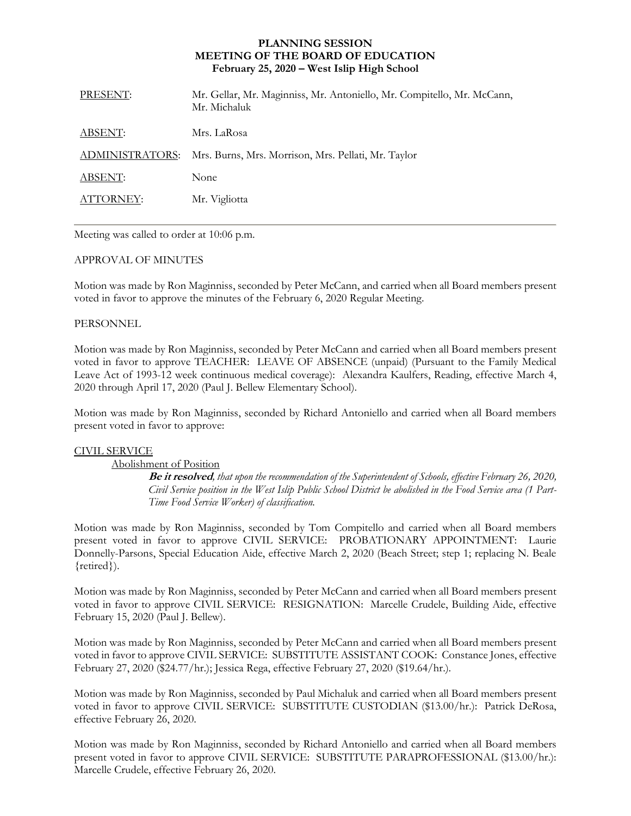## **PLANNING SESSION MEETING OF THE BOARD OF EDUCATION February 25, 2020 – West Islip High School**

| PRESENT:        | Mr. Gellar, Mr. Maginniss, Mr. Antoniello, Mr. Compitello, Mr. McCann,<br>Mr. Michaluk |
|-----------------|----------------------------------------------------------------------------------------|
| ABSENT:         | Mrs. LaRosa                                                                            |
| ADMINISTRATORS: | Mrs. Burns, Mrs. Morrison, Mrs. Pellati, Mr. Taylor                                    |
| ABSENT:         | None                                                                                   |
| ATTORNEY:       | Mr. Vigliotta                                                                          |
|                 |                                                                                        |

Meeting was called to order at 10:06 p.m.

## APPROVAL OF MINUTES

Motion was made by Ron Maginniss, seconded by Peter McCann, and carried when all Board members present voted in favor to approve the minutes of the February 6, 2020 Regular Meeting.

## PERSONNEL

Motion was made by Ron Maginniss, seconded by Peter McCann and carried when all Board members present voted in favor to approve TEACHER:LEAVE OF ABSENCE (unpaid) (Pursuant to the Family Medical Leave Act of 1993-12 week continuous medical coverage): Alexandra Kaulfers, Reading, effective March 4, 2020 through April 17, 2020 (Paul J. Bellew Elementary School).

Motion was made by Ron Maginniss, seconded by Richard Antoniello and carried when all Board members present voted in favor to approve:

## CIVIL SERVICE

Abolishment of Position

**Be it resolved***, that upon the recommendation of the Superintendent of Schools, effective February 26, 2020, Civil Service position in the West Islip Public School District be abolished in the Food Service area (1 Part-Time Food Service Worker) of classification.*

Motion was made by Ron Maginniss, seconded by Tom Compitello and carried when all Board members present voted in favor to approve CIVIL SERVICE:PROBATIONARY APPOINTMENT: Laurie Donnelly-Parsons, Special Education Aide, effective March 2, 2020 (Beach Street; step 1; replacing N. Beale {retired}).

Motion was made by Ron Maginniss, seconded by Peter McCann and carried when all Board members present voted in favor to approve CIVIL SERVICE:RESIGNATION: Marcelle Crudele, Building Aide, effective February 15, 2020 (Paul J. Bellew).

Motion was made by Ron Maginniss, seconded by Peter McCann and carried when all Board members present voted in favor to approve CIVIL SERVICE:SUBSTITUTE ASSISTANT COOK:Constance Jones, effective February 27, 2020 (\$24.77/hr.); Jessica Rega, effective February 27, 2020 (\$19.64/hr.).

Motion was made by Ron Maginniss, seconded by Paul Michaluk and carried when all Board members present voted in favor to approve CIVIL SERVICE:SUBSTITUTE CUSTODIAN (\$13.00/hr.): Patrick DeRosa, effective February 26, 2020.

Motion was made by Ron Maginniss, seconded by Richard Antoniello and carried when all Board members present voted in favor to approve CIVIL SERVICE: SUBSTITUTE PARAPROFESSIONAL (\$13.00/hr.): Marcelle Crudele, effective February 26, 2020.